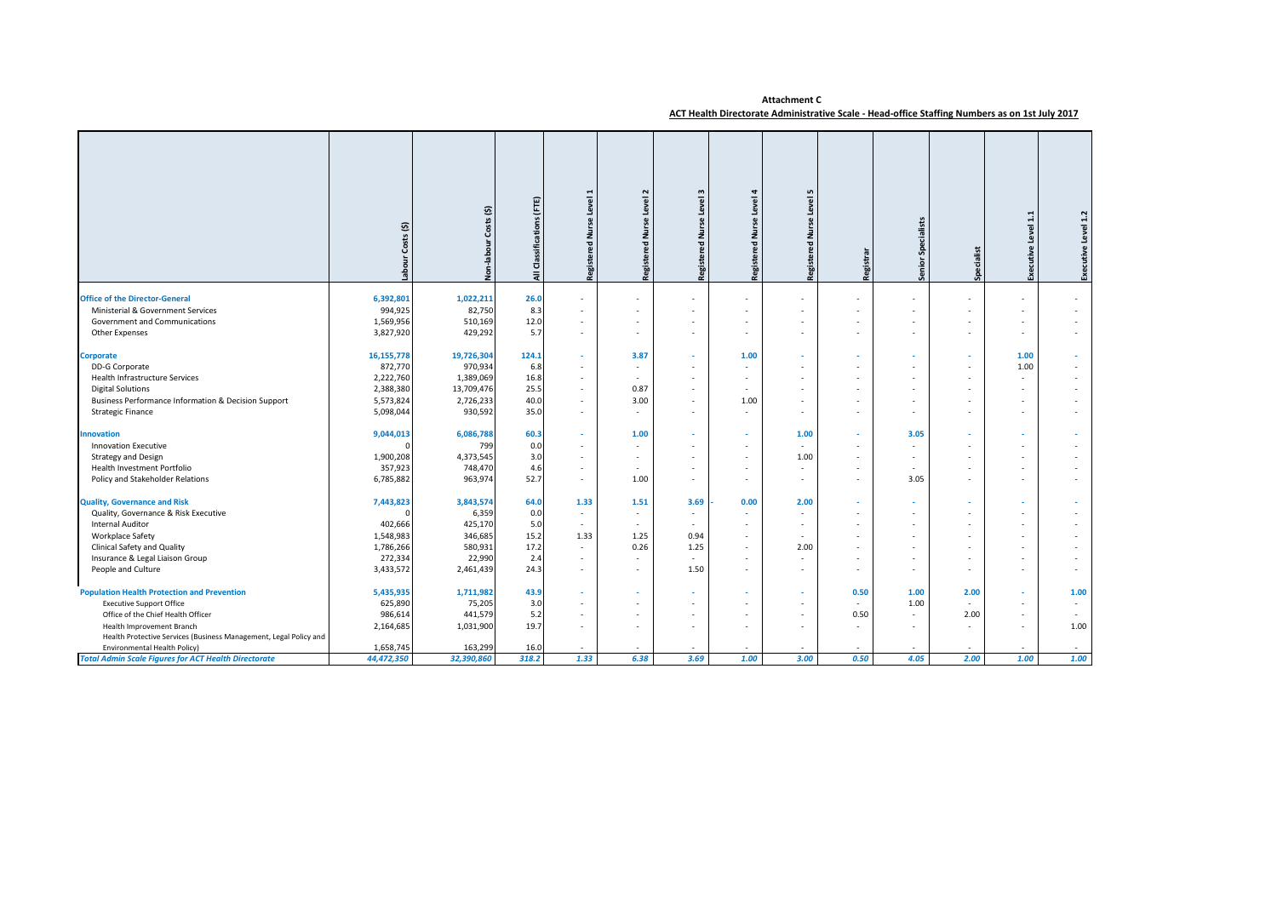## **Attachment C ACT Health Directorate Administrative Scale - Head-office Staffing Numbers as on 1st July 2017**

|                                                                   | Costs(5)<br>Labour | Costs (\$)<br>Non-labour | (FTE)<br>Classifications<br>₹ | Level<br>₹<br>ered<br><b>Regist</b> | Level<br>룯<br>Pg<br>Regist | w<br>g<br>ž<br>ъg.<br>Regist | Level<br>ž<br>ۄ<br>Regist | $\mathbf{r}$<br>Level<br>Regist | Registrar | Senior Specialists | Specialist | Level 1.1<br>Executive | Executive Level 1.2 |
|-------------------------------------------------------------------|--------------------|--------------------------|-------------------------------|-------------------------------------|----------------------------|------------------------------|---------------------------|---------------------------------|-----------|--------------------|------------|------------------------|---------------------|
| <b>Office of the Director-General</b>                             | 6,392,801          | 1,022,211                | 26.0                          |                                     |                            |                              |                           |                                 |           | ٠                  |            |                        |                     |
| Ministerial & Government Services                                 | 994,925            | 82,750                   | 8.3                           |                                     |                            |                              |                           |                                 |           |                    |            |                        |                     |
| Government and Communications                                     | 1,569,956          | 510,169                  | 12.0                          |                                     |                            |                              |                           |                                 |           | ٠                  |            | ٠                      |                     |
| Other Expenses                                                    | 3,827,920          | 429,292                  | 5.7                           |                                     |                            |                              |                           |                                 |           | ٠                  |            | ٠                      |                     |
|                                                                   |                    |                          |                               |                                     |                            |                              |                           |                                 |           |                    |            |                        |                     |
| Corporate                                                         | 16, 155, 778       | 19,726,304               | 124.1                         |                                     | 3.87                       |                              | 1.00                      |                                 |           | ٠                  |            | 1.00                   |                     |
| DD-G Corporate                                                    | 872,770            | 970,934                  | 6.8                           |                                     |                            |                              |                           |                                 |           |                    |            | 1.00                   |                     |
| Health Infrastructure Services                                    | 2,222,760          | 1,389,069                | 16.8                          |                                     |                            |                              |                           |                                 |           |                    |            |                        |                     |
| <b>Digital Solutions</b>                                          | 2,388,380          | 13,709,476               | 25.5                          |                                     | 0.87                       |                              |                           |                                 |           | ×.                 |            | ٠                      |                     |
| Business Performance Information & Decision Support               | 5,573,824          | 2,726,233                | 40.0                          |                                     | 3.00                       |                              | 1.00                      |                                 |           | ٠                  |            | ٠                      |                     |
| <b>Strategic Finance</b>                                          | 5,098,044          | 930,592                  | 35.0                          |                                     | $\sim$                     |                              |                           |                                 |           | ٠                  |            | ٠                      |                     |
| nnovation                                                         | 9,044,013          | 6,086,788                | 60.3                          |                                     | 1.00                       |                              |                           | 1.00                            |           | 3.05               |            |                        |                     |
| <b>Innovation Executive</b>                                       |                    | 799                      | 0.0                           |                                     |                            |                              |                           |                                 |           |                    |            |                        |                     |
| <b>Strategy and Design</b>                                        | 1,900,208          | 4,373,545                | 3.0                           |                                     |                            |                              |                           | 1.00                            |           |                    |            | ٠                      |                     |
| Health Investment Portfolio                                       | 357,923            | 748,470                  | 4.6                           | ٠                                   | $\sim$                     |                              |                           | $\sim$                          | $\sim$    | ٠.                 |            | ٠                      |                     |
| Policy and Stakeholder Relations                                  | 6,785,882          | 963,974                  | 52.7                          |                                     | 1.00                       |                              |                           |                                 |           | 3.05               |            | ٠                      |                     |
| <b>Quality, Governance and Risk</b>                               | 7,443,823          | 3,843,574                | 64.0                          | 1.33                                | 1.51                       | 3.69                         | 0.00                      | 2.00                            |           |                    |            |                        |                     |
| Quality, Governance & Risk Executive                              |                    | 6,359                    | 0.0                           | $\sim$                              | $\sim$                     |                              |                           |                                 |           |                    |            |                        |                     |
| Internal Auditor                                                  | 402,666            | 425,170                  | 5.0                           |                                     |                            |                              |                           |                                 |           |                    |            |                        |                     |
| Workplace Safety                                                  | 1,548,983          | 346,685                  | 15.2                          | 1.33                                | 1.25                       | 0.94                         |                           |                                 |           |                    |            |                        |                     |
| Clinical Safety and Quality                                       | 1,786,266          | 580,931                  | 17.2                          |                                     | 0.26                       | 1.25                         |                           | 2.00                            |           | ×.                 |            | ٠                      |                     |
| Insurance & Legal Liaison Group                                   | 272,334            | 22,990                   | 2.4                           |                                     |                            | $\sim$                       |                           |                                 |           |                    |            | ٠                      |                     |
| People and Culture                                                | 3,433,572          | 2,461,439                | 24.3                          |                                     |                            | 1.50                         |                           |                                 | $\sim$    | ×.                 |            | $\sim$                 |                     |
| <b>Population Health Protection and Prevention</b>                | 5,435,935          | 1,711,982                | 43.9                          |                                     |                            |                              |                           |                                 | 0.50      | 1.00               | 2.00       |                        | 1.00                |
| <b>Executive Support Office</b>                                   | 625,890            | 75,205                   | 3.0                           |                                     |                            |                              |                           |                                 | $\sim$    | 1.00               |            |                        |                     |
| Office of the Chief Health Officer                                | 986,614            | 441,579                  | 5.2                           |                                     |                            |                              |                           |                                 | 0.50      | ٠.                 | 2.00       | ٠                      |                     |
| Health Improvement Branch                                         | 2,164,685          | 1,031,900                | 19.7                          |                                     |                            |                              |                           |                                 | $\sim$    | $\sim$             |            | ٠                      | 1.00                |
| Health Protective Services (Business Management, Legal Policy and |                    |                          |                               |                                     |                            |                              |                           |                                 |           |                    |            |                        |                     |
| Environmental Health Policy)                                      | 1,658,745          | 163,299                  | 16.0                          |                                     |                            |                              |                           |                                 |           |                    |            |                        |                     |
| <b>Total Admin Scale Figures for ACT Health Directorate</b>       | 44,472,350         | 32,390,860               | 318.2                         | 1.33                                | 6.38                       | 3.69                         | 1.00                      | 3.00                            | 0.50      | 4.05               | 2.00       | 1.00                   | 1.00                |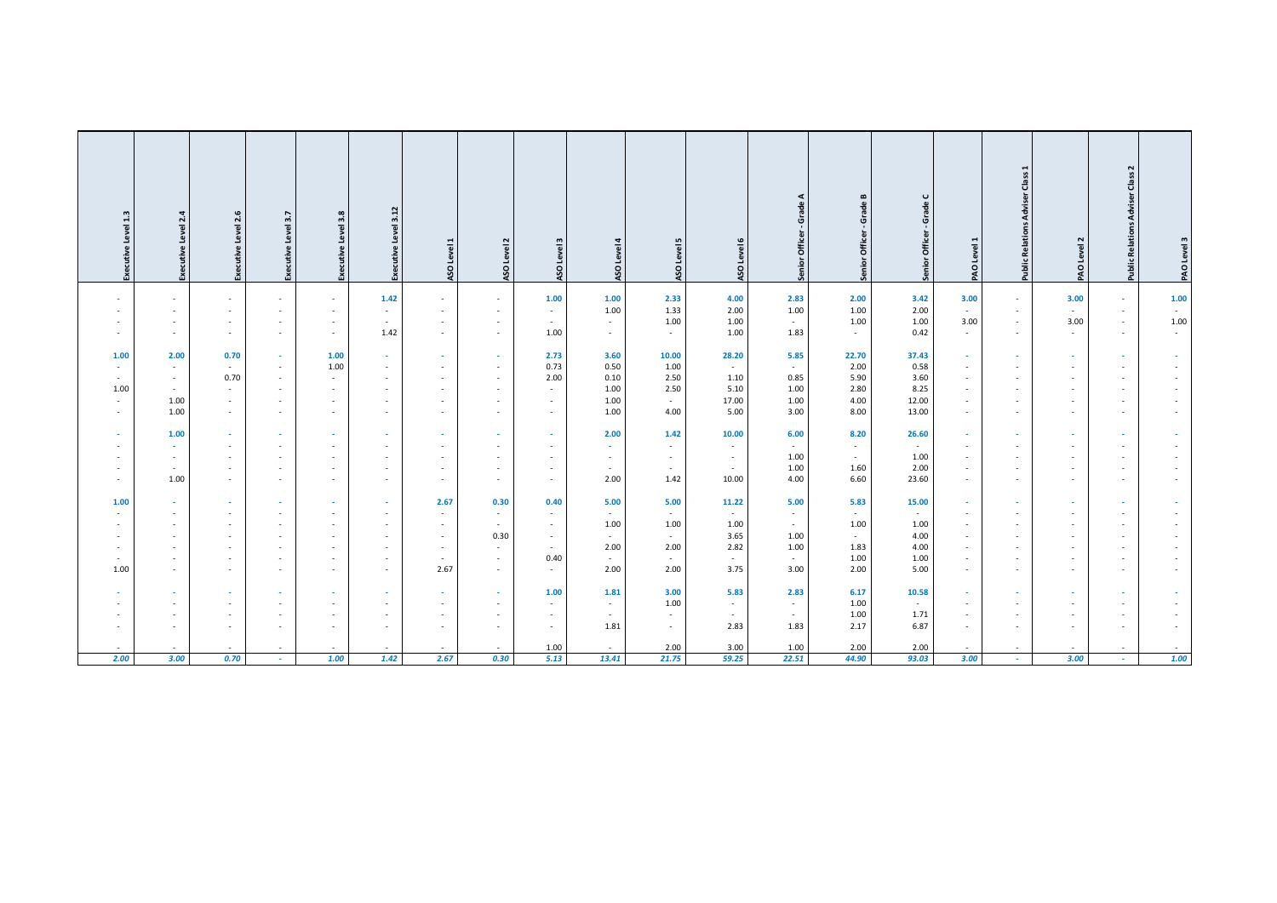| Executive Level 1.3 | Level 2.4<br>Executive   | 2.6<br>Level<br>Executive          | Level 3.7<br>Executive        | Level 3.8<br>Executive | 3.12<br>Level            | ASO Level 1                        | Level 2<br>ASO   | ASO Level 3      | $\overline{a}$<br>Level<br>ASO | 5<br>Level<br>ASO | ASO Level 6    | - Grade A<br>Senior Officer | $\blacksquare$<br>Grade<br>Officer<br>Senior | $\mathbf \sigma$<br><b>Grade</b><br>Officer<br>Senior <sup>(</sup> | PAO Level 1      | <b>Public Relations Adviser Class 1</b> | PAO Level 2 | <b>Public Relations Adviser Class 2</b> | PAO Level 3 |
|---------------------|--------------------------|------------------------------------|-------------------------------|------------------------|--------------------------|------------------------------------|------------------|------------------|--------------------------------|-------------------|----------------|-----------------------------|----------------------------------------------|--------------------------------------------------------------------|------------------|-----------------------------------------|-------------|-----------------------------------------|-------------|
|                     |                          | $\sim$                             | $\sim$                        | $\sim$                 | 1.42                     | $\sim$                             | $\sim$           | $1.00\,$         | $1.00\,$                       | 2.33              | 4.00           | 2.83                        | 2.00                                         | 3.42                                                               | 3.00             | $\sim$                                  | 3.00        | $\sim$                                  | 1.00        |
| $\sim$              | $\sim$                   | $\sim$                             | ٠                             | $\sim$                 | $\sim$                   | $\sim$                             | $\sim$           | $\sim$           | 1.00                           | 1.33              | 2.00           | 1.00                        | 1.00                                         | 2.00                                                               | $\sim$           | $\sim$                                  | $\sim$      | $\sim$                                  |             |
| $\sim$              | $\sim$                   | $\sim$                             | $\sim$                        | $\sim$                 | $\sim$                   | $\sim$                             | $\sim$           | $\sim$           | $\sim$                         | 1.00              | 1.00           | $\sim$                      | 1.00                                         | 1.00                                                               | 3.00             | $\sim$                                  | 3.00        | $\sim$                                  | 1.00        |
| $\sim$              | $\sim$                   | $\sim$                             | $\sim$                        | $\sim$                 | 1.42                     | $\sim$                             | $\sim$           | 1.00             | $\sim$                         | $\sim$            | 1.00           | 1.83                        | $\sim$                                       | 0.42                                                               | $\sim$           | $\sim$                                  | $\sim$      | $\sim$                                  | $\sim$      |
|                     |                          |                                    |                               |                        |                          |                                    |                  |                  |                                |                   |                |                             |                                              |                                                                    |                  |                                         |             |                                         |             |
| 1.00                | 2.00                     | 0.70                               | $\sim$<br>$\sim$              | 1.00<br>1.00           | $\sim$                   | $\sim$                             | $\sim$           | 2.73<br>0.73     | 3.60<br>0.50                   | 10.00<br>1.00     | 28.20          | 5.85                        | 22.70<br>2.00                                | 37.43<br>0.58                                                      | $\sim$<br>$\sim$ | ×.<br>×.                                | $\sim$      | $\sim$                                  |             |
| $\sim$<br>$\sim$    | $\sim$                   | $\sim$<br>0.70                     | $\sim$                        | $\sim$                 | $\sim$                   | $\overline{\phantom{a}}$<br>$\sim$ | $\sim$<br>$\sim$ | 2.00             | 0.10                           | 2.50              | $\sim$<br>1.10 | $\sim$<br>0.85              | 5.90                                         | 3.60                                                               | $\sim$           | $\sim$                                  | $\sim$      | $\overline{\phantom{a}}$                |             |
| 1.00                | $\overline{\phantom{a}}$ | $\sim$                             | ٠                             | $\sim$                 | $\sim$                   | $\sim$                             | $\sim$           | $\sim$           | 1.00                           | 2.50              | 5.10           | 1.00                        | 2.80                                         | 8.25                                                               | $\sim$           | ×.                                      | ٠           | $\sim$                                  |             |
| $\sim$              | 1.00                     | $\sim$                             | ٠                             | $\sim$                 | $\sim$                   | $\sim$                             | $\sim$           | $\sim$           | 1.00                           | $\sim$            | 17.00          | 1.00                        | 4.00                                         | 12.00                                                              | $\sim$           | $\sim$                                  | $\sim$      | $\sim$                                  |             |
| $\sim$              | 1.00                     | $\sim$                             | $\sim$                        | $\sim$                 | $\overline{\phantom{a}}$ | $\sim$                             | $\sim$           | $\sim$           | 1.00                           | 4.00              | 5.00           | 3.00                        | 8.00                                         | 13.00                                                              | $\sim$           | $\sim$                                  | $\sim$      | $\sim$                                  |             |
|                     |                          |                                    |                               |                        |                          |                                    |                  |                  |                                |                   |                |                             |                                              |                                                                    |                  |                                         |             |                                         |             |
| $\sim$              | 1.00                     | $\sim$                             | $\sim$                        | $\sim$                 | $\sim$                   | $\sim$                             | $\sim$           | $\sim$           | 2.00                           | 1.42              | 10.00          | 6.00                        | 8.20                                         | 26.60                                                              | $\sim$           | $\sim$                                  | $\sim$      | $\sim$                                  |             |
| $\sim$              |                          | . п.                               | $\sim$                        |                        |                          | $\sim$                             | $\sim$           | . п.             | $\sim$                         | $\sim$            | $\sim$         | $\sim$                      | $\sim$                                       | $\sim$                                                             | $\sim$           | ×.                                      | ×.          | $\sim$                                  |             |
|                     | $\sim$                   | $\sim$                             | ٠                             |                        |                          | $\sim$                             | $\sim$           | $\sim$           | $\sim$                         | $\sim$            | $\sim$         | 1.00                        | $\sim$                                       | 1.00                                                               | $\sim$           | ٠                                       | $\sim$      | $\sim$                                  |             |
| $\sim$              | $\sim$                   | $\sim$                             | ٠                             | $\sim$                 | $\overline{\phantom{a}}$ | $\overline{\phantom{a}}$           | $\sim$           | $\sim$           | $\sim$                         | $\sim$            | $\sim$         | 1.00                        | 1.60                                         | 2.00                                                               | $\sim$           | ×.                                      | ٠           | $\sim$                                  |             |
| $\sim$              | 1.00                     | $\sim$                             | $\sim$                        | $\sim$                 | $\sim$                   | $\sim$                             | $\sim$           | $\sim$           | 2.00                           | 1.42              | 10.00          | 4.00                        | 6.60                                         | 23.60                                                              | $\sim$           | $\sim$                                  | $\sim$      | $\sim$                                  |             |
| 1.00                | $\sim$                   | $\sim$                             | $\sim$                        | $\sim$                 | $\sim$                   | 2.67                               | 0.30             | 0.40             | 5.00                           | 5.00              | 11.22          | 5.00                        | 5.83                                         | 15.00                                                              | $\sim$           | $\sim$                                  | $\sim$      | $\sim$                                  |             |
| $\sim$              | $\sim$                   | $\sim$                             | $\sim$                        | $\sim$                 | $\sim$                   | $\sim$                             | $\sim$           | <b>Section</b>   | $\sim$                         | $\sim$            | $\sim$         | $\sim$                      | $\sim$                                       | $\sim$                                                             | $\sim$           | $\sim$                                  | $\sim$      | $\sim$                                  |             |
|                     |                          | $\sim$                             | ٠                             |                        |                          | $\overline{\phantom{a}}$           | $\sim$           | $\sim$           | 1.00                           | $1.00\,$          | 1.00           | $\sim$                      | 1.00                                         | 1.00                                                               | $\sim$           | ٠                                       |             |                                         |             |
| $\sim$              |                          | $\overline{\phantom{a}}$           | ٠                             |                        |                          | $\sim$                             | 0.30             | $\sim$           | $\sim$                         | $\sim$            | 3.65           | 1.00                        | $\sim$                                       | 4.00                                                               | $\sim$           | $\sim$                                  | $\sim$      | $\overline{\phantom{a}}$                |             |
| $\sim$              | $\sim$                   | $\sim$                             | ٠                             | $\sim$                 | $\sim$                   | $\sim$                             | $\sim$           | $\sim$           | 2.00                           | 2.00              | 2.82           | 1.00                        | 1.83                                         | 4.00                                                               | $\sim$           | $\sim$                                  | ٠           | $\sim$                                  |             |
| $\sim$              | $\sim$                   | . п.                               | ٠                             | <b>.</b>               | . .                      | $\sim$                             | $\sim$           | 0.40             | $\sim$                         | $\sim$            | $\sim$         | $\sim$                      | 1.00                                         | 1.00                                                               | $\sim$           | $\sim$                                  | $\sim$      | $\sim$                                  |             |
| 1.00                | $\sim$                   | $\sim$                             | $\sim$                        | $\sim$                 | $\overline{\phantom{a}}$ | 2.67                               | $\sim$           | $\sim$           | 2.00                           | 2.00              | 3.75           | 3.00                        | 2.00                                         | 5.00                                                               | $\sim$           | $\sim$                                  | $\sim$      | $\sim$                                  |             |
|                     |                          |                                    |                               |                        |                          |                                    |                  |                  |                                |                   |                |                             |                                              |                                                                    |                  |                                         |             |                                         |             |
| $\sim$              | $\sim$                   | $\sim$                             | $\sim$                        | $\sim$                 | $\sim$                   | $\sim$                             | $\sim$           | 1.00             | 1.81                           | 3.00              | 5.83           | 2.83                        | 6.17                                         | 10.58                                                              | $\sim$           | $\sim$                                  | $\sim$      | $\sim$                                  |             |
|                     |                          | $\sim$                             | $\sim$                        |                        |                          | $\sim$                             | $\sim$           | . п.             | $\sim$                         | 1.00              | $\sim$         | $\sim$                      | $1.00\,$                                     | $\sim$                                                             | $\sim$           | ×.                                      |             | . .                                     |             |
| $\sim$              |                          | $\overline{\phantom{a}}$<br>$\sim$ | ٠<br>$\overline{\phantom{a}}$ | $\sim$                 | $\sim$                   | $\sim$<br>$\sim$                   | $\sim$<br>$\sim$ | $\sim$<br>$\sim$ | $\sim$<br>1.81                 | $\sim$<br>$\sim$  | $\sim$<br>2.83 | $\sim$<br>1.83              | 1.00<br>2.17                                 | 1.71<br>6.87                                                       | $\sim$<br>$\sim$ | $\sim$<br>$\sim$                        | $\sim$<br>٠ |                                         |             |
|                     |                          |                                    |                               |                        |                          |                                    |                  |                  |                                |                   |                |                             |                                              |                                                                    |                  |                                         |             | $\sim$                                  |             |
|                     |                          | $\sim$                             | ٠                             | $\sim$                 | $\sim$                   | $\sim$                             | $\sim$           | 1.00             | $\sim$                         | 2.00              | 3.00           | 1.00                        | 2.00                                         | 2.00                                                               |                  | $\sim$                                  | $\sim$      | $\overline{\phantom{a}}$                |             |
| 2.00                | 3.00                     | 0.70                               | $\sim$                        | 1.00                   | 1.42                     | 2.67                               | 0.30             | 5.13             | 13.41                          | 21.75             | 59.25          | 22.51                       | 44.90                                        | 93.03                                                              | 3.00             | $\sim$                                  | 3.00        | $\sim$                                  | 1.00        |